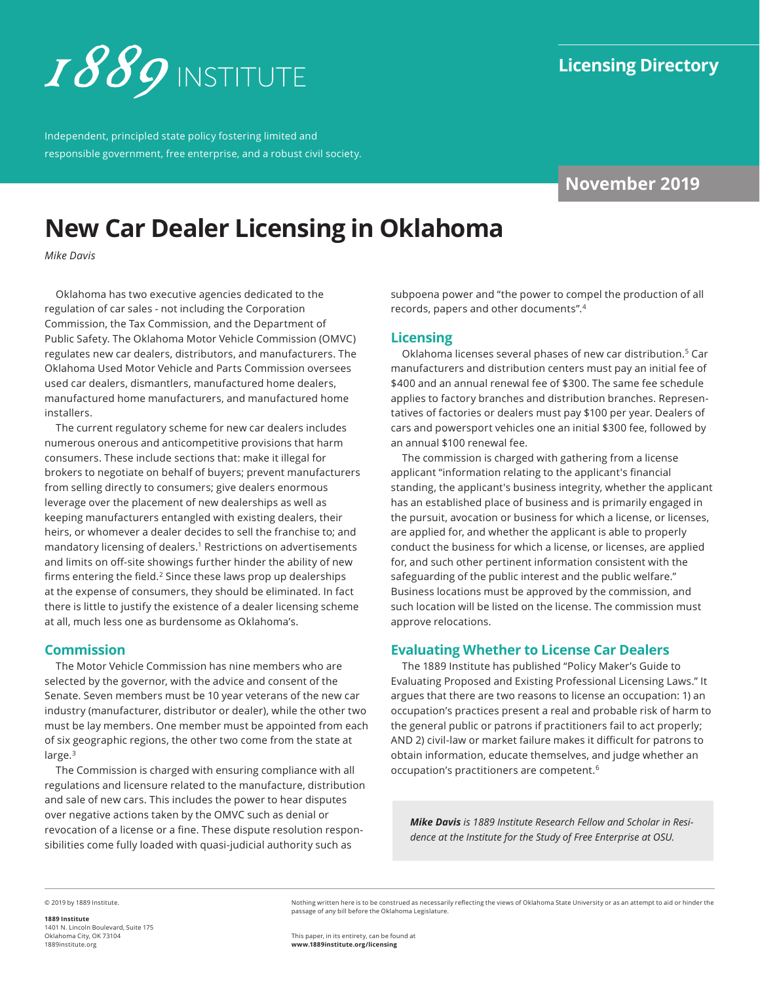

Independent, principled state policy fostering limited and responsible government, free enterprise, and a robust civil society.

# **November 2019**

# **New Car Dealer Licensing in Oklahoma**

*Mike Davis*

Oklahoma has two executive agencies dedicated to the regulation of car sales - not including the Corporation Commission, the Tax Commission, and the Department of Public Safety. The Oklahoma Motor Vehicle Commission (OMVC) regulates new car dealers, distributors, and manufacturers. The Oklahoma Used Motor Vehicle and Parts Commission oversees used car dealers, dismantlers, manufactured home dealers, manufactured home manufacturers, and manufactured home installers.

The current regulatory scheme for new car dealers includes numerous onerous and anticompetitive provisions that harm consumers. These include sections that: make it illegal for brokers to negotiate on behalf of buyers; prevent manufacturers from selling directly to consumers; give dealers enormous leverage over the placement of new dealerships as well as keeping manufacturers entangled with existing dealers, their heirs, or whomever a dealer decides to sell the franchise to; and mandatory licensing of dealers.1 Restrictions on advertisements and limits on off-site showings further hinder the ability of new firms entering the field. $2$  Since these laws prop up dealerships at the expense of consumers, they should be eliminated. In fact there is little to justify the existence of a dealer licensing scheme at all, much less one as burdensome as Oklahoma's.

### **Commission**

The Motor Vehicle Commission has nine members who are selected by the governor, with the advice and consent of the Senate. Seven members must be 10 year veterans of the new car industry (manufacturer, distributor or dealer), while the other two must be lay members. One member must be appointed from each of six geographic regions, the other two come from the state at large.<sup>3</sup>

The Commission is charged with ensuring compliance with all regulations and licensure related to the manufacture, distribution and sale of new cars. This includes the power to hear disputes over negative actions taken by the OMVC such as denial or revocation of a license or a fine. These dispute resolution responsibilities come fully loaded with quasi-judicial authority such as

subpoena power and "the power to compel the production of all records, papers and other documents".<sup>4</sup>

# **Licensing**

Oklahoma licenses several phases of new car distribution.<sup>5</sup> Car manufacturers and distribution centers must pay an initial fee of \$400 and an annual renewal fee of \$300. The same fee schedule applies to factory branches and distribution branches. Representatives of factories or dealers must pay \$100 per year. Dealers of cars and powersport vehicles one an initial \$300 fee, followed by an annual \$100 renewal fee.

The commission is charged with gathering from a license applicant "information relating to the applicant's financial standing, the applicant's business integrity, whether the applicant has an established place of business and is primarily engaged in the pursuit, avocation or business for which a license, or licenses, are applied for, and whether the applicant is able to properly conduct the business for which a license, or licenses, are applied for, and such other pertinent information consistent with the safeguarding of the public interest and the public welfare." Business locations must be approved by the commission, and such location will be listed on the license. The commission must approve relocations.

# **Evaluating Whether to License Car Dealers**

The 1889 Institute has published "Policy Maker's Guide to Evaluating Proposed and Existing Professional Licensing Laws." It argues that there are two reasons to license an occupation: 1) an occupation's practices present a real and probable risk of harm to the general public or patrons if practitioners fail to act properly; AND 2) civil-law or market failure makes it difficult for patrons to obtain information, educate themselves, and judge whether an occupation's practitioners are competent.<sup>6</sup>

*Mike Davis is 1889 Institute Research Fellow and Scholar in Residence at the Institute for the Study of Free Enterprise at OSU.*

© 2019 by 1889 Institute.

**1889 Institute** 1401 N. Lincoln Boulevard, Suite 175 Oklahoma City, OK 73104 [1889institute.org](http://www.1889institute.org)

Nothing written here is to be construed as necessarily reflecting the views of Oklahoma State University or as an attempt to aid or hinder the passage of any bill before the Oklahoma Legislature.

This paper, in its entirety, can be found at **[www.1889institute.org/](https://1889institute.org/licensing)licensing**